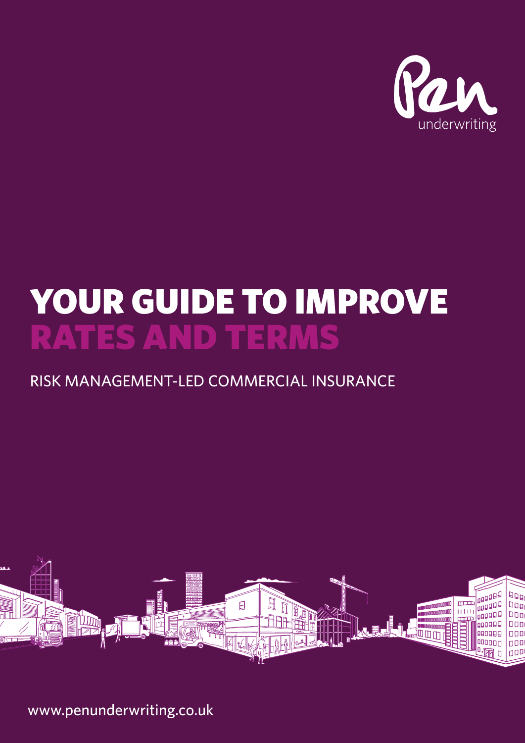

# YOUR GUIDE TO IMPROVE RATES AND TERMS

## RISK MANAGEMENT-LED COMMERCIAL INSURANCE



www.penunderwriting.co.uk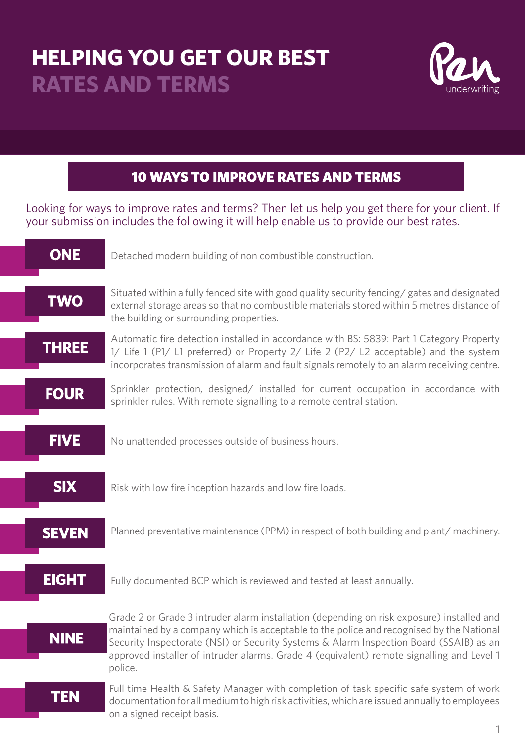# **HELPING YOU GET OUR BEST RATES AND TERMS**

l<br>I



#### 10 WAYS TO IMPROVE RATES AND TERMS

Looking for ways to improve rates and terms? Then let us help you get there for your client. If your submission includes the following it will help enable us to provide our best rates.

| <b>ONE</b>   | Detached modern building of non combustible construction.                                                                                                                                                                                                                                                                                                                               |
|--------------|-----------------------------------------------------------------------------------------------------------------------------------------------------------------------------------------------------------------------------------------------------------------------------------------------------------------------------------------------------------------------------------------|
| <b>TWO</b>   | Situated within a fully fenced site with good quality security fencing/ gates and designated<br>external storage areas so that no combustible materials stored within 5 metres distance of<br>the building or surrounding properties.                                                                                                                                                   |
| <b>THREE</b> | Automatic fire detection installed in accordance with BS: 5839: Part 1 Category Property<br>1/ Life 1 (P1/ L1 preferred) or Property 2/ Life 2 (P2/ L2 acceptable) and the system<br>incorporates transmission of alarm and fault signals remotely to an alarm receiving centre.                                                                                                        |
| <b>FOUR</b>  | Sprinkler protection, designed/ installed for current occupation in accordance with<br>sprinkler rules. With remote signalling to a remote central station.                                                                                                                                                                                                                             |
| <b>FIVE</b>  | No unattended processes outside of business hours.                                                                                                                                                                                                                                                                                                                                      |
| <b>SIX</b>   | Risk with low fire inception hazards and low fire loads.                                                                                                                                                                                                                                                                                                                                |
| <b>SEVEN</b> | Planned preventative maintenance (PPM) in respect of both building and plant/ machinery.                                                                                                                                                                                                                                                                                                |
| <b>EIGHT</b> | Fully documented BCP which is reviewed and tested at least annually.                                                                                                                                                                                                                                                                                                                    |
| <b>NINE</b>  | Grade 2 or Grade 3 intruder alarm installation (depending on risk exposure) installed and<br>maintained by a company which is acceptable to the police and recognised by the National<br>Security Inspectorate (NSI) or Security Systems & Alarm Inspection Board (SSAIB) as an<br>approved installer of intruder alarms. Grade 4 (equivalent) remote signalling and Level 1<br>police. |
| <b>TEN</b>   | Full time Health & Safety Manager with completion of task specific safe system of work<br>documentation for all medium to high risk activities, which are issued annually to employees<br>on a signed receipt basis.                                                                                                                                                                    |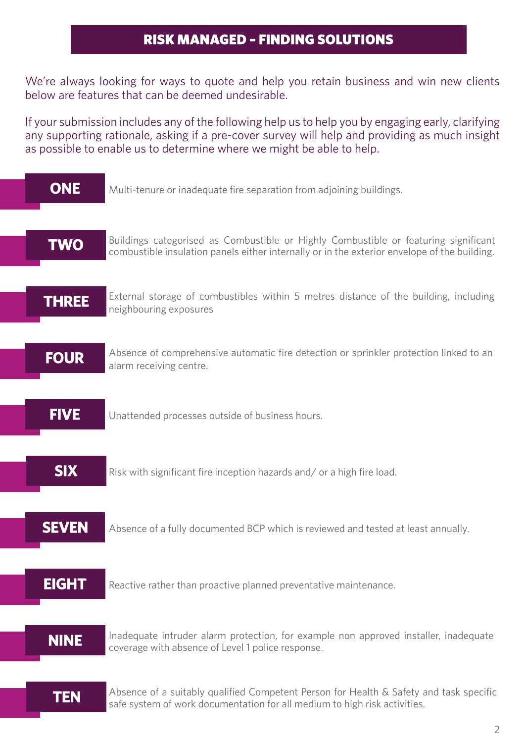#### **RISK MANAGED - FINDING SOLUTIONS**

We're always looking for ways to quote and help you retain business and win new clients below are features that can be deemed undesirable.

If your submission includes any of the following help us to help you by engaging early, clarifying any supporting rationale, asking if a pre-cover survey will help and providing as much insight as possible to enable us to determine where we might be able to help.

| <b>ONE</b>   | Multi-tenure or inadequate fire separation from adjoining buildings.                                                                                                                |
|--------------|-------------------------------------------------------------------------------------------------------------------------------------------------------------------------------------|
| <b>TWO</b>   | Buildings categorised as Combustible or Highly Combustible or featuring significant<br>combustible insulation panels either internally or in the exterior envelope of the building. |
| <b>THREE</b> | External storage of combustibles within 5 metres distance of the building, including<br>neighbouring exposures                                                                      |
| <b>FOUR</b>  | Absence of comprehensive automatic fire detection or sprinkler protection linked to an<br>alarm receiving centre.                                                                   |
| <b>FIVE</b>  | Unattended processes outside of business hours.                                                                                                                                     |
| <b>SIX</b>   | Risk with significant fire inception hazards and/or a high fire load.                                                                                                               |
| <b>SEVEN</b> | Absence of a fully documented BCP which is reviewed and tested at least annually.                                                                                                   |
| <b>EIGHT</b> | Reactive rather than proactive planned preventative maintenance.                                                                                                                    |
| <b>NINE</b>  | Inadequate intruder alarm protection, for example non approved installer, inadequate<br>coverage with absence of Level 1 police response.                                           |
| <b>TEN</b>   | Absence of a suitably qualified Competent Person for Health & Safety and task specific<br>safe system of work documentation for all medium to high risk activities.                 |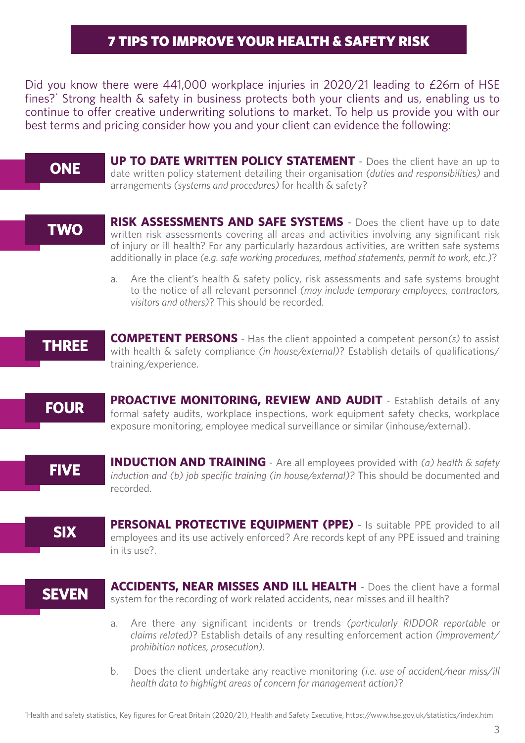#### 7 TIPS TO IMPROVE YOUR HEALTH & SAFETY RISK

Did you know there were 441,000 workplace injuries in 2020/21 leading to £26m of HSE fines?' Strong health & safety in business protects both your clients and us, enabling us to continue to offer creative underwriting solutions to market. To help us provide you with our best terms and pricing consider how you and your client can evidence the following:

#### **ONE**

**UP TO DATE WRITTEN POLICY STATEMENT** - Does the client have an up to date written policy statement detailing their organisation *(duties and responsibilities)* and arrangements *(systems and procedures)* for health & safety?

#### **TWO**

**RISK ASSESSMENTS AND SAFE SYSTEMS** - Does the client have up to date written risk assessments covering all areas and activities involving any significant risk of injury or ill health? For any particularly hazardous activities, are written safe systems additionally in place *(e.g. safe working procedures, method statements, permit to work, etc.)*?

a. Are the client's health & safety policy, risk assessments and safe systems brought to the notice of all relevant personnel *(may include temporary employees, contractors, visitors and others)*? This should be recorded.



**COMPETENT PERSONS** - Has the client appointed a competent person*(s)* to assist with health & safety compliance *(in house/external)*? Establish details of qualifications/ training/experience.

**FOUR** 

**PROACTIVE MONITORING, REVIEW AND AUDIT** - Establish details of any formal safety audits, workplace inspections, work equipment safety checks, workplace exposure monitoring, employee medical surveillance or similar (inhouse/external).

**FIVE** 

**INDUCTION AND TRAINING** - Are all employees provided with *(a) health & safety induction and (b) job specific training (in house/external)?* This should be documented and recorded.

**SIX** 

**PERSONAL PROTECTIVE EQUIPMENT (PPE)** - Is suitable PPE provided to all employees and its use actively enforced? Are records kept of any PPE issued and training in its use?.

### **SEVEN**

**ACCIDENTS, NEAR MISSES AND ILL HEALTH** - Does the client have a formal system for the recording of work related accidents, near misses and ill health?

- a. Are there any significant incidents or trends *(particularly RIDDOR reportable or claims related*)? Establish details of any resulting enforcement action *(improvement/ prohibition notices, prosecution)*.
- b. Does the client undertake any reactive monitoring *(i.e. use of accident/near miss/ill health data to highlight areas of concern for management action)*?